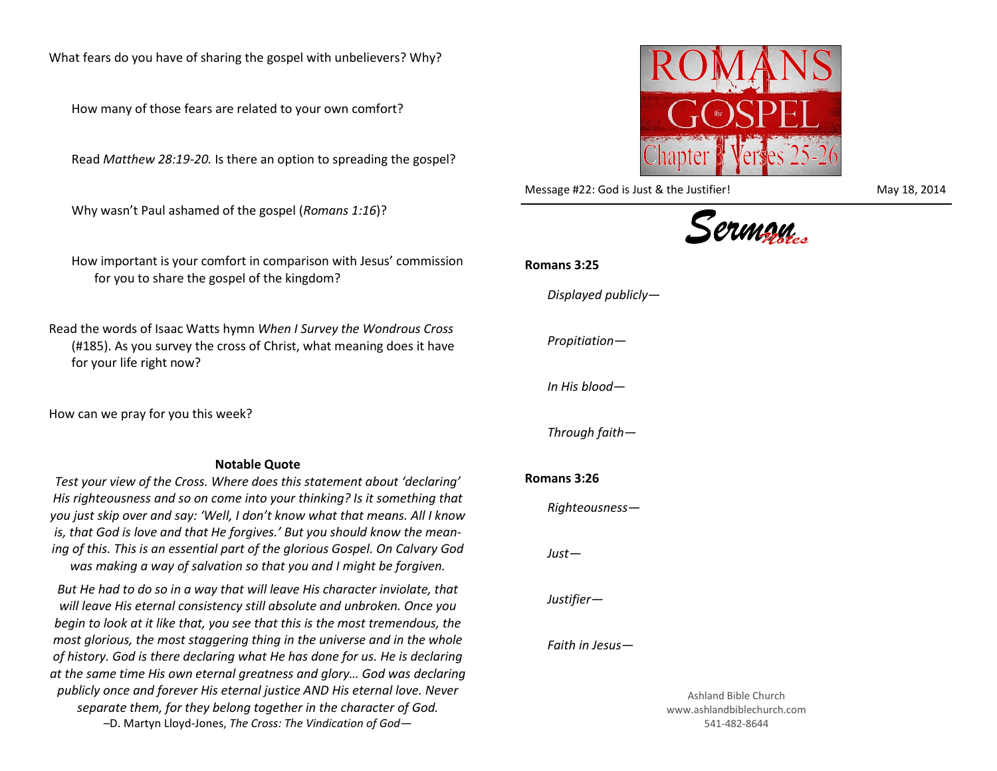What fears do you have of sharing the gospel with unbelievers? Why?

How many of those fears are related to your own comfort?

Read *Matthew 28:19-20.* Is there an option to spreading the gospel?

Why wasn't Paul ashamed of the gospel (*Romans 1:16*)?

How important is your comfort in comparison with Jesus' commission for you to share the gospel of the kingdom?

Read the words of Isaac Watts hymn *When I Survey the Wondrous Cross* (#185). As you survey the cross of Christ, what meaning does it have for your life right now?

How can we pray for you this week?

## **Notable Quote**

*Test your view of the Cross. Where does this statement about 'declaring' His righteousness and so on come into your thinking? Is it something that you just skip over and say: 'Well, I don't know what that means. All I know is, that God is love and that He forgives.' But you should know the meaning of this. This is an essential part of the glorious Gospel. On Calvary God was making a way of salvation so that you and I might be forgiven.*

*But He had to do so in a way that will leave His character inviolate, that will leave His eternal consistency still absolute and unbroken. Once you begin to look at it like that, you see that this is the most tremendous, the most glorious, the most staggering thing in the universe and in the whole of history. God is there declaring what He has done for us. He is declaring at the same time His own eternal greatness and glory… God was declaring publicly once and forever His eternal justice AND His eternal love. Never separate them, for they belong together in the character of God.* –D. Martyn Lloyd-Jones, *The Cross: The Vindication of God—*



Message #22: God is Just & the Justifier! May 18, 2014



## **Romans 3:25**

*Displayed publicly—*

*Propitiation—*

*In His blood—*

*Through faith—*

## **Romans 3:26**

*Righteousness—*

*Just—*

*Justifier—*

*Faith in Jesus—*

Ashland Bible Church www.ashlandbiblechurch.com 541-482-8644